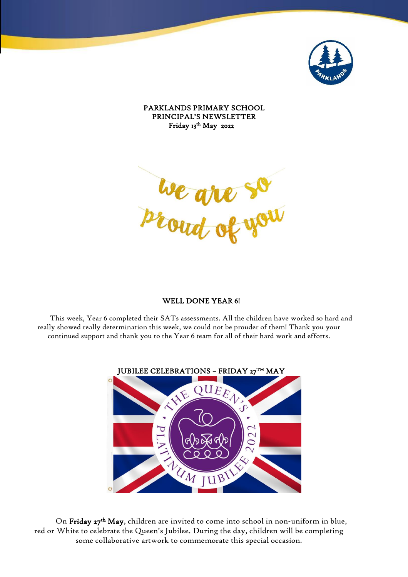

PARKLANDS PRIMARY SCHOOL PRINCIPAL'S NEWSLETTER Friday 13th May 2022

l, ļ ľ Į I Ĭ

## WELL DONE YEAR 6!

This week, Year 6 completed their SATs assessments. All the children have worked so hard and really showed really determination this week, we could not be prouder of them! Thank you your continued support and thank you to the Year 6 team for all of their hard work and efforts.



On Friday 27<sup>th</sup> May, children are invited to come into school in non-uniform in blue, red or White to celebrate the Queen's Jubilee. During the day, children will be completing some collaborative artwork to commemorate this special occasion.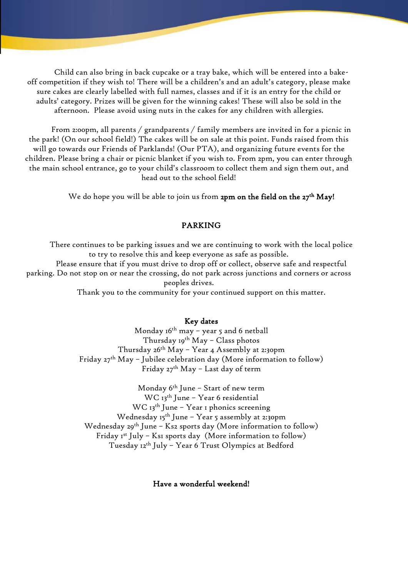Child can also bring in back cupcake or a tray bake, which will be entered into a bakeoff competition if they wish to! There will be a children's and an adult's category, please make sure cakes are clearly labelled with full names, classes and if it is an entry for the child or adults' category. Prizes will be given for the winning cakes! These will also be sold in the afternoon. Please avoid using nuts in the cakes for any children with allergies.

From 2:00pm, all parents / grandparents / family members are invited in for a picnic in the park! (On our school field!) The cakes will be on sale at this point. Funds raised from this will go towards our Friends of Parklands! (Our PTA), and organizing future events for the children. Please bring a chair or picnic blanket if you wish to. From 2pm, you can enter through the main school entrance, go to your child's classroom to collect them and sign them out, and head out to the school field!

We do hope you will be able to join us from **2pm on the field on the 27<sup>th</sup> May!** 

## PARKING

There continues to be parking issues and we are continuing to work with the local police to try to resolve this and keep everyone as safe as possible. Please ensure that if you must drive to drop off or collect, observe safe and respectful parking. Do not stop on or near the crossing, do not park across junctions and corners or across peoples drives. Thank you to the community for your continued support on this matter.

Key dates

Monday 16th may – year 5 and 6 netball Thursday  $19^{th}$  May - Class photos Thursday 26th May - Year 4 Assembly at 2:30pm Friday  $27<sup>th</sup>$  May – Jubilee celebration day (More information to follow) Friday 27<sup>th</sup> May - Last day of term

Monday 6th June – Start of new term WC 13<sup>th</sup> June - Year 6 residential WC 13<sup>th</sup> June - Year 1 phonics screening Wednesday  $I5^{th}$  June – Year 5 assembly at 2:30pm Wednesday  $29^{th}$  June – Ks2 sports day (More information to follow) Friday  $I^{st}$  July – Ks1 sports day (More information to follow) Tuesday 12th July – Year 6 Trust Olympics at Bedford

Have a wonderful weekend!